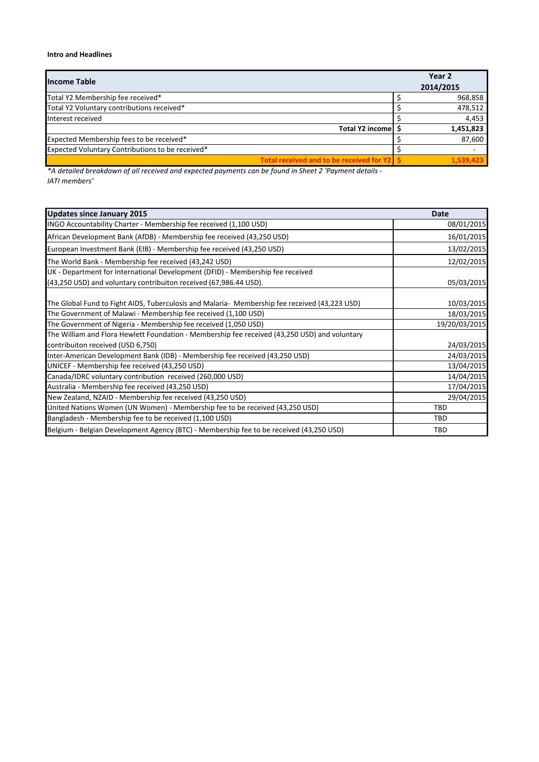## **Intro and Headlines**

| <b>Income Table</b>                              | Year <sub>2</sub><br>2014/2015 |
|--------------------------------------------------|--------------------------------|
| Total Y2 Membership fee received*                | 968,858                        |
| Total Y2 Voluntary contributions received*       | 478,512                        |
| Interest received                                | 4,453                          |
| Total Y2 income S                                | 1,451,823                      |
| Expected Membership fees to be received*         | 87,600                         |
| Expected Voluntary Contributions to be received* |                                |
| Total received and to be received for Y2         | 1.539.423                      |

 $*$ A detailed breakdown of all received and expected payments can be found in Sheet 2 'Payment details -*IATI members'*

| <b>Updates since January 2015</b>                                                             | <b>Date</b>   |
|-----------------------------------------------------------------------------------------------|---------------|
| INGO Accountability Charter - Membership fee received (1,100 USD)                             | 08/01/2015    |
| African Development Bank (AfDB) - Membership fee received (43,250 USD)                        | 16/01/2015    |
| European Investment Bank (EIB) - Membership fee received (43,250 USD)                         | 13/02/2015    |
| The World Bank - Membership fee received (43,242 USD)                                         | 12/02/2015    |
| UK - Department for International Development (DFID) - Membership fee received                |               |
| (43,250 USD) and voluntary contribuiton received (67,986.44 USD).                             | 05/03/2015    |
| The Global Fund to Fight AIDS, Tuberculosis and Malaria- Membership fee received (43,223 USD) | 10/03/2015    |
| The Government of Malawi - Membership fee received (1,100 USD)                                | 18/03/2015    |
| The Government of Nigeria - Membership fee received (1,050 USD)                               | 19/20/03/2015 |
| The William and Flora Hewlett Foundation - Membership fee received (43,250 USD) and voluntary |               |
| contribuiton received (USD 6,750)                                                             | 24/03/2015    |
| Inter-American Development Bank (IDB) - Membership fee received (43,250 USD)                  | 24/03/2015    |
| UNICEF - Membership fee received (43,250 USD)                                                 | 13/04/2015    |
| Canada/IDRC voluntary contribution received (260,000 USD)                                     | 14/04/2015    |
| Australia - Membership fee received (43,250 USD)                                              | 17/04/2015    |
| New Zealand, NZAID - Membership fee received (43,250 USD)                                     | 29/04/2015    |
| United Nations Women (UN Women) - Membership fee to be received (43,250 USD)                  | <b>TBD</b>    |
| Bangladesh - Membership fee to be received (1,100 USD)                                        | TBD           |
| Belgium - Belgian Development Agency (BTC) - Membership fee to be received (43,250 USD)       | <b>TBD</b>    |